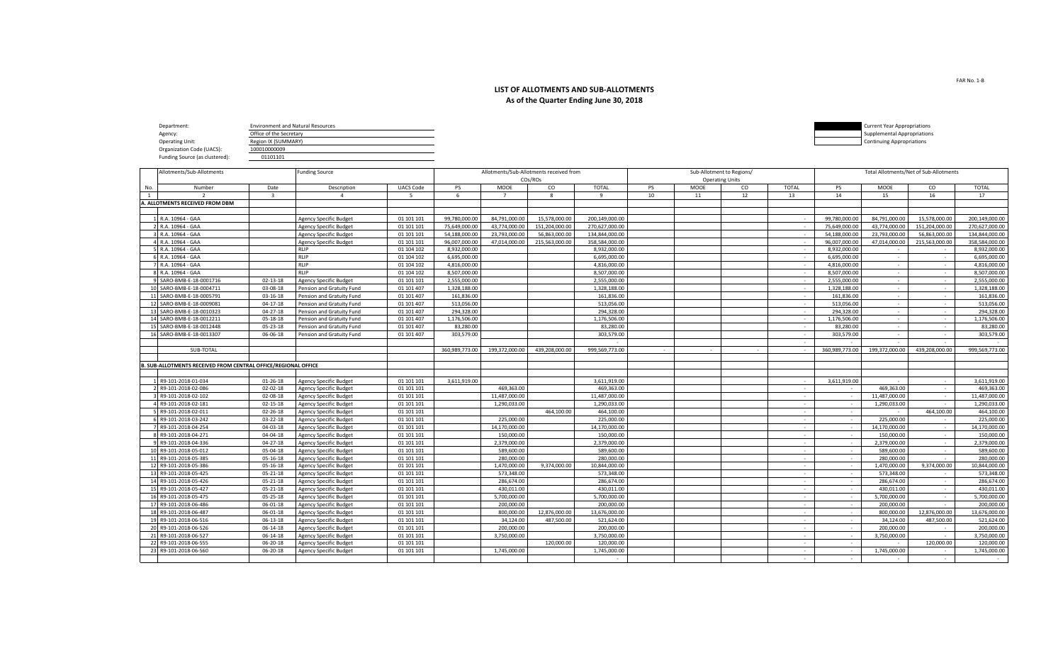## **LIST OF ALLOTMENTS AND SUB-ALLOTMENTS As of the Quarter Ending June 30, 2018**

| Department:                    | <b>Environment and Natural Resources</b> |  | <b>Current Year Appropriations</b> |
|--------------------------------|------------------------------------------|--|------------------------------------|
| Agency:                        | Office of the Secretary                  |  | Supplemental Appropriations        |
| <b>Operating Unit:</b>         | Region IX (SUMMARY)                      |  | Continuing Appropriations          |
| Organization Code (UACS):      | 100010000009                             |  |                                    |
| Funding Source (as clustered): | 01101101                                 |  |                                    |

|     | Allotments/Sub-Allotments                                      |                         | Funding Source                |                  | Allotments/Sub-Allotments received from |                |                |                | Sub-Allotment to Regions/ |             |                        |              | Total Allotments/Net of Sub-Allotments |                |                |                |
|-----|----------------------------------------------------------------|-------------------------|-------------------------------|------------------|-----------------------------------------|----------------|----------------|----------------|---------------------------|-------------|------------------------|--------------|----------------------------------------|----------------|----------------|----------------|
|     |                                                                |                         |                               |                  |                                         |                | COs/ROs        |                |                           |             | <b>Operating Units</b> |              |                                        |                |                |                |
| No. | Number                                                         | Date                    | Description                   | <b>UACS Code</b> | PS                                      | <b>MOOE</b>    | co             | <b>TOTAL</b>   | PS                        | <b>MOOE</b> | CO                     | <b>TOTAL</b> | <b>PS</b>                              | <b>MOOE</b>    | CO             | <b>TOTAL</b>   |
| 1   | $\overline{\phantom{a}}$                                       | $\overline{\mathbf{3}}$ | $\overline{4}$                | 5                | 6                                       | $\overline{7}$ | 8              | 9              | 10                        | 11          | 12                     | 13           | 14                                     | 15             | 16             | 17             |
|     | A. ALLOTMENTS RECEIVED FROM DBM                                |                         |                               |                  |                                         |                |                |                |                           |             |                        |              |                                        |                |                |                |
|     |                                                                |                         |                               |                  |                                         |                |                |                |                           |             |                        |              |                                        |                |                |                |
|     | 1 R.A. 10964 - GAA                                             |                         | <b>Agency Specific Budget</b> | 01 101 101       | 99,780,000.00                           | 84,791,000.00  | 15,578,000.00  | 200,149,000.00 |                           |             |                        | $\sim$       | 99,780,000.00                          | 84.791.000.00  | 15,578,000.00  | 200.149.000.00 |
|     | 2 R.A. 10964 - GAA                                             |                         | <b>Agency Specific Budget</b> | 01 101 101       | 75,649,000.00                           | 43,774,000.00  | 151,204,000.00 | 270,627,000.00 |                           |             |                        | $\sim$       | 75,649,000.00                          | 43,774,000.00  | 151,204,000.00 | 270,627,000.00 |
|     | 3 R.A. 10964 - GAA                                             |                         | <b>Agency Specific Budget</b> | 01 101 101       | 54.188.000.00                           | 23.793.000.00  | 56.863.000.00  | 134,844,000.00 |                           |             |                        | $\sim$       | 54.188.000.00                          | 23.793.000.00  | 56,863,000.00  | 134,844,000.00 |
|     | 4 R.A. 10964 - GAA                                             |                         | <b>Agency Specific Budget</b> | 01 101 101       | 96,007,000.00                           | 47,014,000.00  | 215,563,000.00 | 358.584.000.00 |                           |             |                        | $\sim$       | 96,007,000.00                          | 47,014,000.00  | 215,563,000.00 | 358,584,000.00 |
|     | 5 R.A. 10964 - GAA                                             |                         | <b>RLIP</b>                   | 01 104 102       | 8.932.000.00                            |                |                | 8.932.000.00   |                           |             |                        | $\sim$       | 8.932.000.00                           | $\sim$         | $\sim$         | 8.932.000.00   |
|     | 6 R.A. 10964 - GAA                                             |                         | RLIP                          | 01 104 102       | 6,695,000.00                            |                |                | 6,695,000.00   |                           |             |                        | $\sim$       | 6,695,000.00                           | $\sim$         | $\sim$         | 6,695,000.00   |
|     | 7 R.A. 10964 - GAA                                             |                         | RLIP                          | 01 104 102       | 4.816.000.00                            |                |                | 4.816.000.00   |                           |             |                        | $\sim$       | 4.816.000.00                           | $\sim$         | $\sim$         | 4.816.000.00   |
|     | 8 R.A. 10964 - GAA                                             |                         | <b>RLIP</b>                   | 01 104 102       | 8.507.000.00                            |                |                | 8.507.000.00   |                           |             |                        | $\sim$       | 8.507.000.00                           | $\sim$         | $\sim$         | 8.507.000.00   |
|     | 9 SARO-BMB-E-18-0001716                                        | $02 - 13 - 18$          | Agency Specific Budget        | 01 101 101       | 2,555,000.00                            |                |                | 2,555,000.00   |                           |             |                        | $\sim$       | 2,555,000.00                           | $\sim$         | $\sim$         | 2,555,000.00   |
|     | 10 SARO-BMB-E-18-0004711                                       | 03-08-18                | Pension and Gratuity Fund     | 01 101 407       | 1,328,188.00                            |                |                | 1,328,188.00   |                           |             |                        | $\sim$       | 1,328,188.00                           | $\sim$         | $\sim$         | 1,328,188.00   |
|     | 11 SARO-BMB-E-18-0005791                                       | 03-16-18                | Pension and Gratuity Fund     | 01 101 407       | 161,836.00                              |                |                | 161,836.00     |                           |             |                        | $\sim$       | 161,836.00                             | $\sim$         | $\sim$         | 161,836.00     |
|     | 12 SARO-BMB-E-18-0009081                                       | $04-17-18$              | Pension and Gratuity Fund     | 01 101 407       | 513.056.00                              |                |                | 513.056.00     |                           |             |                        | $\sim$       | 513.056.00                             | $\sim$         | $\sim$         | 513.056.00     |
|     | 13 SARO-BMB-E-18-0010323                                       | $04 - 27 - 18$          | Pension and Gratuity Fund     | 01 101 407       | 294,328.00                              |                |                | 294,328.00     |                           |             |                        |              | 294,328.00                             |                |                | 294,328.00     |
|     | 14 SARO-BMB-E-18-0012211                                       | 05-18-18                | Pension and Gratuity Fund     | 01 101 407       | 1,176,506.00                            |                |                | 1,176,506.00   |                           |             |                        | $\sim$       | 1,176,506.00                           | $\sim$         | $\sim$         | 1,176,506.00   |
|     | 15 SARO-BMB-E-18-0012448                                       | 05-23-18                | Pension and Gratuity Fund     | 01 101 407       | 83,280.00                               |                |                | 83,280.00      |                           |             |                        | $\sim$       | 83,280.00                              | $\sim$         |                | 83,280.00      |
|     | 16 SARO-BMB-E-18-0013307                                       | 06-06-18                | Pension and Gratuity Fund     | 01 101 407       | 303,579.00                              |                |                | 303,579.00     |                           |             |                        | $\sim$       | 303,579.00                             | $\sim$         | $\sim$         | 303,579.00     |
|     |                                                                |                         |                               |                  |                                         |                |                |                |                           |             |                        | $\sim$       |                                        |                |                |                |
|     | SUB-TOTAL                                                      |                         |                               |                  | 360,989,773.00                          | 199,372,000.00 | 439,208,000.00 | 999,569,773.00 |                           |             | $\sim$                 | $\sim$       | 360,989,773.00                         | 199,372,000.00 | 439,208,000.00 | 999,569,773.00 |
|     |                                                                |                         |                               |                  |                                         |                |                |                |                           |             |                        |              |                                        |                |                |                |
|     | B. SUB-ALLOTMENTS RECEIVED FROM CENTRAL OFFICE/REGIONAL OFFICE |                         |                               |                  |                                         |                |                |                |                           |             |                        |              |                                        |                |                |                |
|     |                                                                |                         |                               |                  |                                         |                |                |                |                           |             |                        |              |                                        |                |                |                |
|     | 1 R9-101-2018-01-034                                           | $01 - 26 - 18$          | <b>Agency Specific Budget</b> | 01 101 101       | 3.611.919.00                            |                |                | 3.611.919.00   |                           |             |                        | $\sim$       | 3.611.919.00                           |                | $\sim$         | 3.611.919.00   |
|     | 2 R9-101-2018-02-086                                           | 02-02-18                | <b>Agency Specific Budget</b> | 01 101 101       |                                         | 469.363.00     |                | 469,363.00     |                           |             |                        | $\sim$       | $\sim$                                 | 469,363.00     | $\sim$         | 469,363.00     |
|     | 3 R9-101-2018-02-102                                           | 02-08-18                | <b>Agency Specific Budget</b> | 01 101 101       |                                         | 11,487,000.00  |                | 11,487,000.00  |                           |             |                        | $\sim$       | $\sim$                                 | 11,487,000.00  | $\sim$         | 11,487,000.00  |
|     | 4 R9-101-2018-02-181                                           | $02 - 15 - 18$          | <b>Agency Specific Budget</b> | 01 101 101       |                                         | 1,290,033.00   |                | 1,290,033.00   |                           |             |                        |              | $\sim$                                 | 1,290,033.00   |                | 1,290,033.00   |
|     | 5 R9-101-2018-02-011                                           | $02 - 26 - 18$          | <b>Agency Specific Budget</b> | 01 101 101       |                                         |                | 464,100.00     | 464.100.00     |                           |             |                        | $\sim$       | $\overline{a}$                         |                | 464,100.00     | 464,100.00     |
|     | 6 R9-101-2018-03-242                                           | $03 - 22 - 18$          | Agency Specific Budget        | 01 101 101       |                                         | 225,000.00     |                | 225,000.00     |                           |             |                        | $\sim$       | $\sim$                                 | 225,000.00     |                | 225,000.00     |
|     | 7 R9-101-2018-04-254                                           | 04-03-18                | <b>Agency Specific Budget</b> | 01 101 101       |                                         | 14,170,000.00  |                | 14,170,000.00  |                           |             |                        |              |                                        | 14,170,000.00  | $\sim$         | 14,170,000.00  |
|     | 8 R9-101-2018-04-271                                           | 04-04-18                | <b>Agency Specific Budget</b> | 01 101 101       |                                         | 150,000,00     |                | 150,000.00     |                           |             |                        | $\sim$       | $\sim$                                 | 150,000.00     | $\sim$         | 150,000,00     |
|     | 9 R9-101-2018-04-336                                           | $04 - 27 - 18$          | <b>Agency Specific Budget</b> | 01 101 101       |                                         | 2,379,000.00   |                | 2,379,000.00   |                           |             |                        | $\sim$       | $\sim$                                 | 2,379,000.00   | $\sim$         | 2,379,000.00   |
|     | 10 R9-101-2018-05-012                                          | 05-04-18                | <b>Agency Specific Budget</b> | 01 101 101       |                                         | 589,600.00     |                | 589,600.00     |                           |             |                        | $\sim$       | $\sim$                                 | 589,600.00     | $\sim$         | 589.600.00     |
|     | 11 R9-101-2018-05-385                                          | $05 - 16 - 18$          | <b>Agency Specific Budget</b> | 01 101 101       |                                         | 280,000,00     |                | 280.000.00     |                           |             |                        | $\sim$       | $\sim$                                 | 280,000,00     |                | 280.000.00     |
|     | 12 R9-101-2018-05-386                                          | $05 - 16 - 18$          | <b>Agency Specific Budget</b> | 01 101 101       |                                         | 1.470.000.00   | 9.374.000.00   | 10.844.000.00  |                           |             |                        | $\sim$       | $\sim$                                 | 1.470.000.00   | 9.374.000.00   | 10.844.000.00  |
|     | 13 R9-101-2018-05-425                                          | $05 - 21 - 18$          | <b>Agency Specific Budget</b> | 01 101 101       |                                         | 573.348.00     |                | 573.348.00     |                           |             |                        | $\sim$       | $\sim$                                 | 573.348.00     |                | 573.348.00     |
|     | 14 R9-101-2018-05-426                                          | $05 - 21 - 18$          | <b>Agency Specific Budget</b> | 01 101 101       |                                         | 286.674.00     |                | 286.674.00     |                           |             |                        | $\sim$       | $\sim$                                 | 286,674,00     | $\sim$         | 286.674.00     |
|     | 15 R9-101-2018-05-427                                          | $05 - 21 - 18$          | <b>Agency Specific Budget</b> | 01 101 101       |                                         | 430,011.00     |                | 430,011.00     |                           |             |                        | $\sim$       | $\overline{a}$                         | 430,011.00     | $\sim$         | 430,011.00     |
|     | 16 R9-101-2018-05-475                                          | $05 - 25 - 18$          | <b>Agency Specific Budget</b> | 01 101 101       |                                         | 5.700.000.00   |                | 5.700.000.00   |                           |             |                        | $\sim$       | $\overline{a}$                         | 5.700.000.00   | $\sim$         | 5.700.000.00   |
|     | 17 R9-101-2018-06-486                                          | 06-01-18                | <b>Agency Specific Budget</b> | 01 101 101       |                                         | 200,000.00     |                | 200,000.00     |                           |             |                        | $\sim$       | $\sim$                                 | 200,000.00     |                | 200,000.00     |
|     | 18 R9-101-2018-06-487                                          | $06 - 01 - 18$          | <b>Agency Specific Budget</b> | 01 101 101       |                                         | 800.000.00     | 12,876,000.00  | 13,676,000.00  |                           |             |                        | $\sim$       | $\overline{a}$                         | 800,000,00     | 12,876,000.00  | 13,676,000.00  |
|     | 19 R9-101-2018-06-516                                          | $06 - 13 - 18$          | <b>Agency Specific Budget</b> | 01 101 101       |                                         | 34.124.00      | 487.500.00     | 521,624.00     |                           |             |                        |              | $\sim$                                 | 34,124.00      | 487,500.00     | 521,624.00     |
|     | 20 R9-101-2018-06-526                                          | $06 - 14 - 18$          | <b>Agency Specific Budget</b> | 01 101 101       |                                         | 200.000.00     |                | 200.000.00     |                           |             |                        |              |                                        | 200,000.00     |                | 200,000,00     |
|     | 21 R9-101-2018-06-527                                          | 06-14-18                | <b>Agency Specific Budget</b> | 01 101 101       |                                         | 3,750,000.00   |                | 3,750,000.00   |                           |             |                        | $\sim$       | $\sim$                                 | 3,750,000.00   |                | 3,750,000.00   |
|     | 22 R9-101-2018-06-555                                          | 06-20-18                | <b>Agency Specific Budget</b> | 01 101 101       |                                         |                | 120,000.00     | 120,000.00     |                           |             |                        |              |                                        |                | 120,000.00     | 120,000,00     |
|     | 23 R9-101-2018-06-560                                          | $06 - 20 - 18$          | <b>Agency Specific Budget</b> | 01 101 101       |                                         | 1,745,000.00   |                | 1,745,000.00   |                           |             |                        | $\sim$       | $\sim$                                 | 1,745,000.00   | $\sim$         | 1,745,000.00   |
|     |                                                                |                         |                               |                  |                                         |                |                | $\sim$         |                           |             |                        | $\sim$       | $\overline{a}$                         |                | $\sim$         | $\sim$         |

FAR No. 1-B